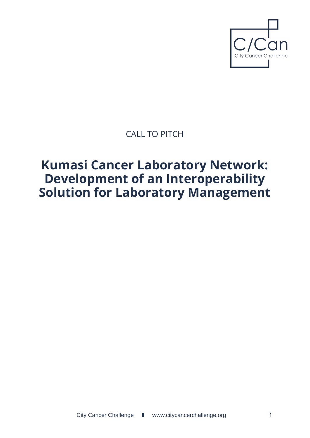

# CALL TO PITCH

# **Kumasi Cancer Laboratory Network: Development of an Interoperability Solution for Laboratory Management**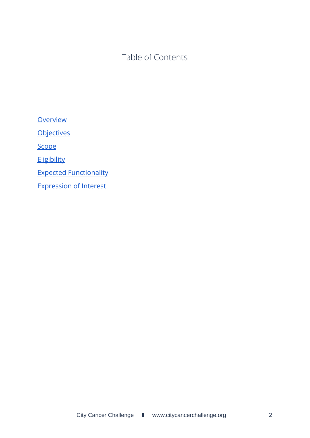Table of Contents

**[Overview](#page-2-0) [Objectives](#page-2-1) [Scope](#page-2-2) [Eligibility](#page-3-0)** Expected [Functionality](#page-3-1) [Expression](#page-4-0) of Interest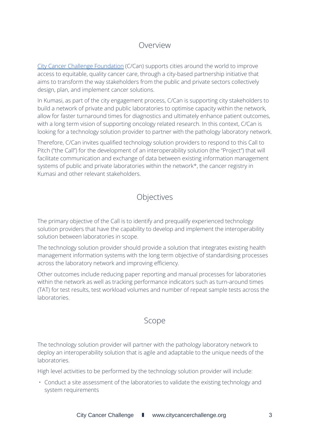## Overview

<span id="page-2-0"></span>City Cancer Challenge [Foundation](http://www.citycancerchallenge.org) (C/Can) supports cities around the world to improve access to equitable, quality cancer care, through a city-based partnership initiative that aims to transform the way stakeholders from the public and private sectors collectively design, plan, and implement cancer solutions.

In Kumasi, as part of the city engagement process, C/Can is supporting city stakeholders to build a network of private and public laboratories to optimise capacity within the network, allow for faster turnaround times for diagnostics and ultimately enhance patient outcomes, with a long term vision of supporting oncology related research. In this context, C/Can is looking for a technology solution provider to partner with the pathology laboratory network.

Therefore, C/Can invites qualified technology solution providers to respond to this Call to Pitch ("the Call") for the development of an interoperability solution (the "Project") that will facilitate communication and exchange of data between existing information management systems of public and private laboratories within the network\*, the cancer registry in Kumasi and other relevant stakeholders.

## Objectives

<span id="page-2-1"></span>The primary objective of the Call is to identify and prequalify experienced technology solution providers that have the capability to develop and implement the interoperability solution between laboratories in scope.

The technology solution provider should provide a solution that integrates existing health management information systems with the long term objective of standardising processes across the laboratory network and improving efficiency.

Other outcomes include reducing paper reporting and manual processes for laboratories within the network as well as tracking performance indicators such as turn-around times (TAT) for test results, test workload volumes and number of repeat sample tests across the laboratories.

#### Scope

<span id="page-2-2"></span>The technology solution provider will partner with the pathology laboratory network to deploy an interoperability solution that is agile and adaptable to the unique needs of the laboratories.

High level activities to be performed by the technology solution provider will include:

• Conduct a site assessment of the laboratories to validate the existing technology and system requirements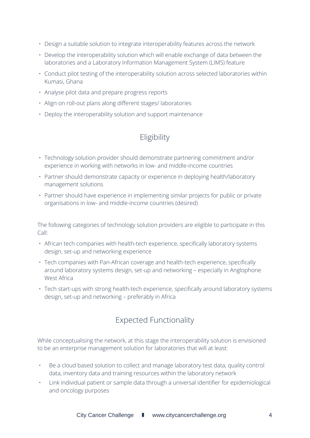- Design a suitable solution to integrate interoperability features across the network
- Develop the interoperability solution which will enable exchange of data between the laboratories and a Laboratory Information Management System (LIMS) feature
- Conduct pilot testing of the interoperability solution across selected laboratories within Kumasi, Ghana
- Analyse pilot data and prepare progress reports
- Align on roll-out plans along different stages/ laboratories
- <span id="page-3-0"></span>• Deploy the interoperability solution and support maintenance

## Eligibility

- Technology solution provider should demonstrate partnering commitment and/or experience in working with networks in low- and middle-income countries
- Partner should demonstrate capacity or experience in deploying health/laboratory management solutions
- Partner should have experience in implementing similar projects for public or private organisations in low- and middle-income countries (desired)

The following categories of technology solution providers are eligible to participate in this Call:

- African tech companies with health-tech experience, specifically laboratory systems design, set-up and networking experience
- Tech companies with Pan-African coverage and health-tech experience, specifically around laboratory systems design, set-up and networking – especially in Anglophone West Africa
- Tech start-ups with strong health-tech experience, specifically around laboratory systems design, set-up and networking – preferably in Africa

## Expected Functionality

<span id="page-3-1"></span>While conceptualising the network, at this stage the interoperability solution is envisioned to be an enterprise management solution for laboratories that will at least:

- Be a cloud based solution to collect and manage laboratory test data, quality control data, inventory data and training resources within the laboratory network
- Link individual patient or sample data through a universal identifier for epidemiological and oncology purposes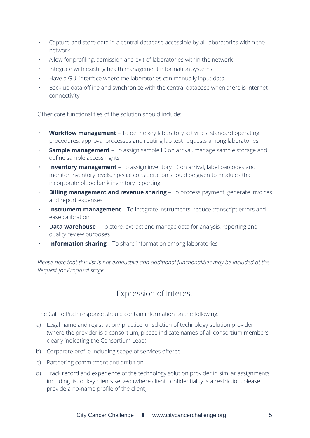- Capture and store data in a central database accessible by all laboratories within the network
- Allow for profiling, admission and exit of laboratories within the network
- Integrate with existing health management information systems
- Have a GUI interface where the laboratories can manually input data
- Back up data offline and synchronise with the central database when there is internet connectivity

Other core functionalities of the solution should include:

- **Workflow management** To define key laboratory activities, standard operating procedures, approval processes and routing lab test requests among laboratories
- **Sample management** To assign sample ID on arrival, manage sample storage and define sample access rights
- **Inventory management** To assign inventory ID on arrival, label barcodes and monitor inventory levels. Special consideration should be given to modules that incorporate blood bank inventory reporting
- **Billing management and revenue sharing** To process payment, generate invoices and report expenses
- **Instrument management** To integrate instruments, reduce transcript errors and ease calibration
- **Data warehouse** To store, extract and manage data for analysis, reporting and quality review purposes
- **Information sharing** To share information among laboratories

*Please note that this list is not exhaustive and additional functionalities may be included at the Request for Proposal stage*

#### Expression of Interest

<span id="page-4-0"></span>The Call to Pitch response should contain information on the following:

- a) Legal name and registration/ practice jurisdiction of technology solution provider (where the provider is a consortium, please indicate names of all consortium members, clearly indicating the Consortium Lead)
- b) Corporate profile including scope of services offered
- c) Partnering commitment and ambition
- d) Track record and experience of the technology solution provider in similar assignments including list of key clients served (where client confidentiality is a restriction, please provide a no-name profile of the client)